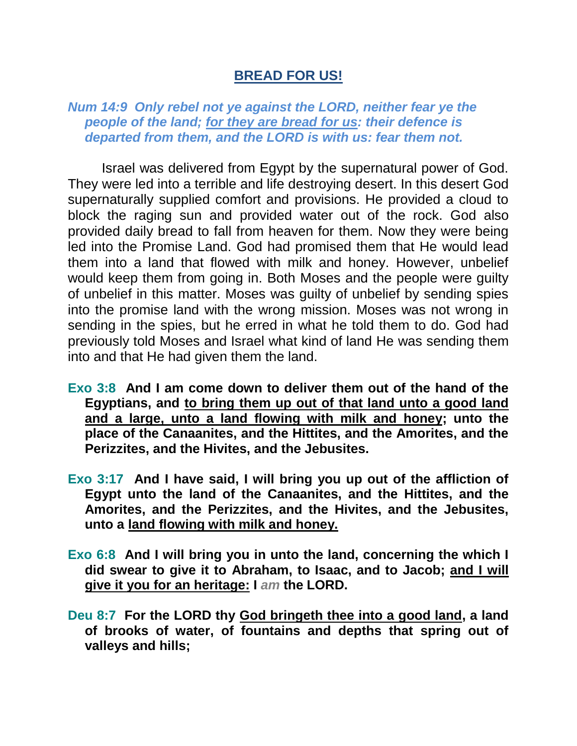## **BREAD FOR US!**

*Num 14:9 Only rebel not ye against the LORD, neither fear ye the people of the land; for they are bread for us: their defence is departed from them, and the LORD is with us: fear them not.* 

Israel was delivered from Egypt by the supernatural power of God. They were led into a terrible and life destroying desert. In this desert God supernaturally supplied comfort and provisions. He provided a cloud to block the raging sun and provided water out of the rock. God also provided daily bread to fall from heaven for them. Now they were being led into the Promise Land. God had promised them that He would lead them into a land that flowed with milk and honey. However, unbelief would keep them from going in. Both Moses and the people were guilty of unbelief in this matter. Moses was guilty of unbelief by sending spies into the promise land with the wrong mission. Moses was not wrong in sending in the spies, but he erred in what he told them to do. God had previously told Moses and Israel what kind of land He was sending them into and that He had given them the land.

- **Exo 3:8 And I am come down to deliver them out of the hand of the Egyptians, and to bring them up out of that land unto a good land and a large, unto a land flowing with milk and honey; unto the place of the Canaanites, and the Hittites, and the Amorites, and the Perizzites, and the Hivites, and the Jebusites.**
- **Exo 3:17 And I have said, I will bring you up out of the affliction of Egypt unto the land of the Canaanites, and the Hittites, and the Amorites, and the Perizzites, and the Hivites, and the Jebusites, unto a land flowing with milk and honey.**
- **Exo 6:8 And I will bring you in unto the land, concerning the which I did swear to give it to Abraham, to Isaac, and to Jacob; and I will give it you for an heritage: I** *am* **the LORD.**
- **Deu 8:7 For the LORD thy God bringeth thee into a good land, a land of brooks of water, of fountains and depths that spring out of valleys and hills;**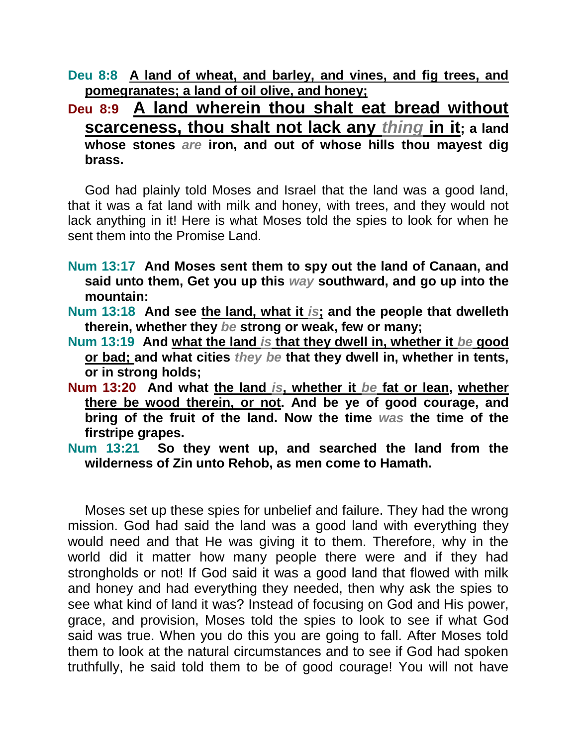**Deu 8:8 A land of wheat, and barley, and vines, and fig trees, and pomegranates; a land of oil olive, and honey;**

**Deu 8:9 A land wherein thou shalt eat bread without scarceness, thou shalt not lack any** *thing* **in it; a land whose stones** *are* **iron, and out of whose hills thou mayest dig brass.** 

God had plainly told Moses and Israel that the land was a good land, that it was a fat land with milk and honey, with trees, and they would not lack anything in it! Here is what Moses told the spies to look for when he sent them into the Promise Land.

- **Num 13:17 And Moses sent them to spy out the land of Canaan, and said unto them, Get you up this** *way* **southward, and go up into the mountain:**
- **Num 13:18 And see the land, what it** *is***; and the people that dwelleth therein, whether they** *be* **strong or weak, few or many;**
- **Num 13:19 And what the land** *is* **that they dwell in, whether it** *be* **good or bad; and what cities** *they be* **that they dwell in, whether in tents, or in strong holds;**
- **Num 13:20 And what the land** *is***, whether it** *be* **fat or lean, whether there be wood therein, or not. And be ye of good courage, and bring of the fruit of the land. Now the time** *was* **the time of the firstripe grapes.**
- **Num 13:21 So they went up, and searched the land from the wilderness of Zin unto Rehob, as men come to Hamath.**

Moses set up these spies for unbelief and failure. They had the wrong mission. God had said the land was a good land with everything they would need and that He was giving it to them. Therefore, why in the world did it matter how many people there were and if they had strongholds or not! If God said it was a good land that flowed with milk and honey and had everything they needed, then why ask the spies to see what kind of land it was? Instead of focusing on God and His power, grace, and provision, Moses told the spies to look to see if what God said was true. When you do this you are going to fall. After Moses told them to look at the natural circumstances and to see if God had spoken truthfully, he said told them to be of good courage! You will not have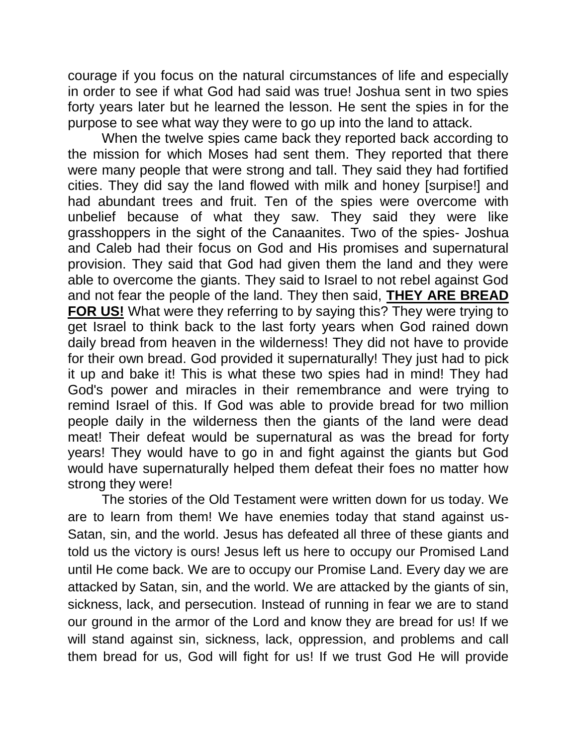courage if you focus on the natural circumstances of life and especially in order to see if what God had said was true! Joshua sent in two spies forty years later but he learned the lesson. He sent the spies in for the purpose to see what way they were to go up into the land to attack.

When the twelve spies came back they reported back according to the mission for which Moses had sent them. They reported that there were many people that were strong and tall. They said they had fortified cities. They did say the land flowed with milk and honey [surpise!] and had abundant trees and fruit. Ten of the spies were overcome with unbelief because of what they saw. They said they were like grasshoppers in the sight of the Canaanites. Two of the spies- Joshua and Caleb had their focus on God and His promises and supernatural provision. They said that God had given them the land and they were able to overcome the giants. They said to Israel to not rebel against God and not fear the people of the land. They then said, **THEY ARE BREAD FOR US!** What were they referring to by saying this? They were trying to get Israel to think back to the last forty years when God rained down daily bread from heaven in the wilderness! They did not have to provide for their own bread. God provided it supernaturally! They just had to pick it up and bake it! This is what these two spies had in mind! They had God's power and miracles in their remembrance and were trying to remind Israel of this. If God was able to provide bread for two million people daily in the wilderness then the giants of the land were dead meat! Their defeat would be supernatural as was the bread for forty years! They would have to go in and fight against the giants but God would have supernaturally helped them defeat their foes no matter how strong they were!

The stories of the Old Testament were written down for us today. We are to learn from them! We have enemies today that stand against us-Satan, sin, and the world. Jesus has defeated all three of these giants and told us the victory is ours! Jesus left us here to occupy our Promised Land until He come back. We are to occupy our Promise Land. Every day we are attacked by Satan, sin, and the world. We are attacked by the giants of sin, sickness, lack, and persecution. Instead of running in fear we are to stand our ground in the armor of the Lord and know they are bread for us! If we will stand against sin, sickness, lack, oppression, and problems and call them bread for us, God will fight for us! If we trust God He will provide